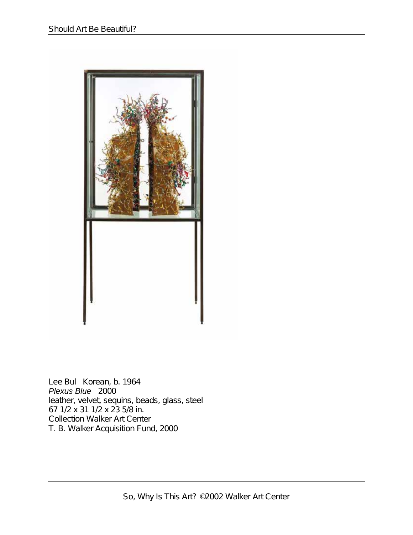

Lee Bul Korean, b. 1964 *Plexus Blue* 2000 leather, velvet, sequins, beads, glass, steel 67 1/2 x 31 1/2 x 23 5/8 in. Collection Walker Art Center T. B. Walker Acquisition Fund, 2000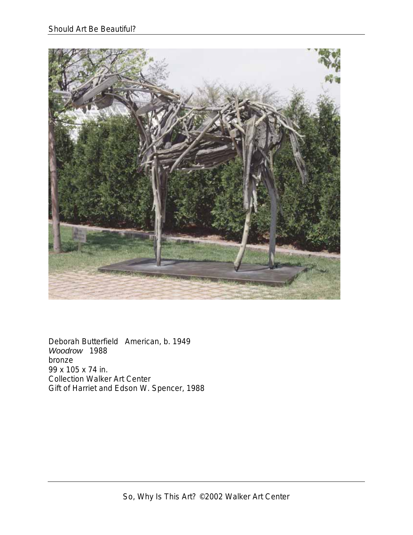

Deborah Butterfield American, b. 1949 *Woodrow* 1988 bronze 99 x 105 x 74 in. Collection Walker Art Center Gift of Harriet and Edson W. Spencer, 1988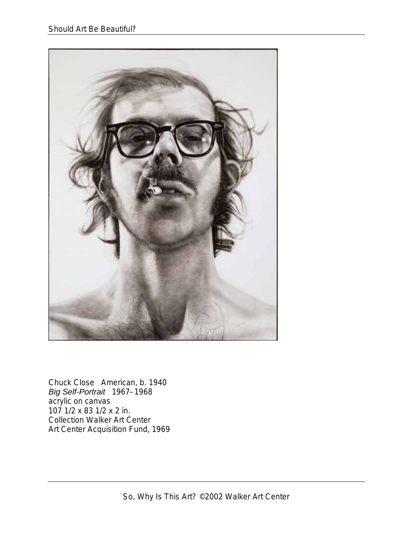

Chuck Close American, b. 1940 *Big Self-Portrait* 1967–1968 acrylic on canvas 107 1/2 x 83 1/2 x 2 in. Collection Walker Art Center Art Center Acquisition Fund, 1969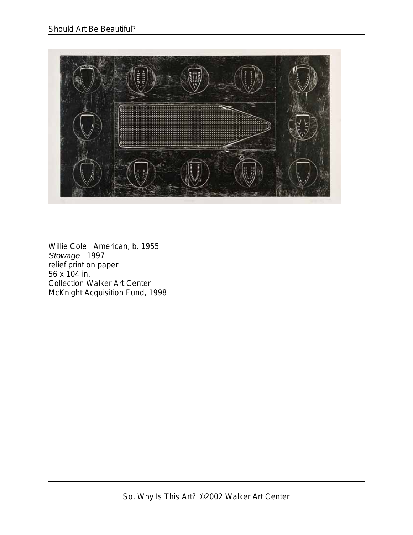

Willie Cole American, b. 1955 *Stowage* 1997 relief print on paper 56 x 104 in. Collection Walker Art Center McKnight Acquisition Fund, 1998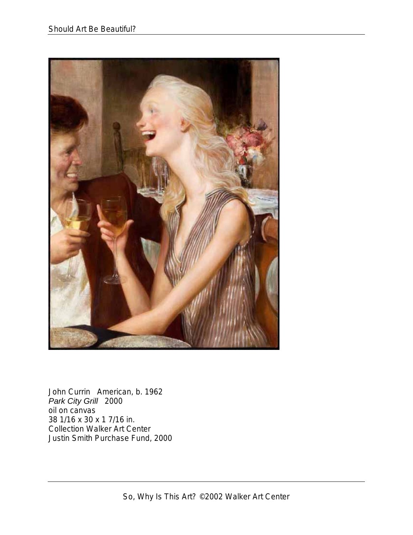

John Currin American, b. 1962 *Park City Grill* 2000 oil on canvas 38 1/16 x 30 x 1 7/16 in. Collection Walker Art Center Justin Smith Purchase Fund, 2000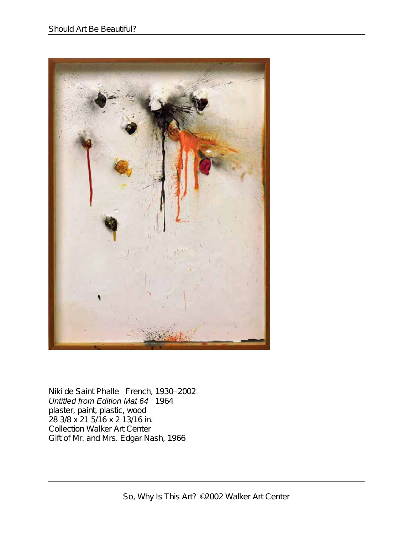

Niki de Saint Phalle French, 1930–2002 *Untitled from Edition Mat 64* 1964 plaster, paint, plastic, wood 28 3/8 x 21 5/16 x 2 13/16 in. Collection Walker Art Center Gift of Mr. and Mrs. Edgar Nash, 1966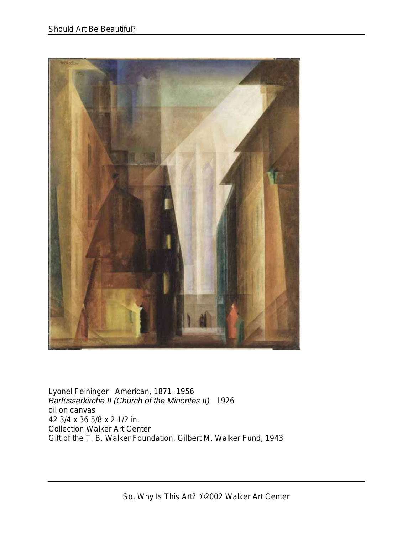

Lyonel Feininger American, 1871–1956 *Barfüsserkirche II (Church of the Minorites II)* 1926 oil on canvas 42 3/4 x 36 5/8 x 2 1/2 in. Collection Walker Art Center Gift of the T. B. Walker Foundation, Gilbert M. Walker Fund, 1943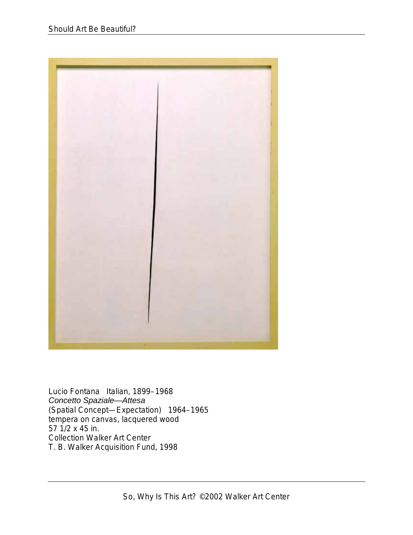

Lucio Fontana Italian, 1899–1968 *Concetto Spaziale—Attesa* (Spatial Concept—Expectation) 1964–1965 tempera on canvas, lacquered wood 57 1/2 x 45 in. Collection Walker Art Center T. B. Walker Acquisition Fund, 1998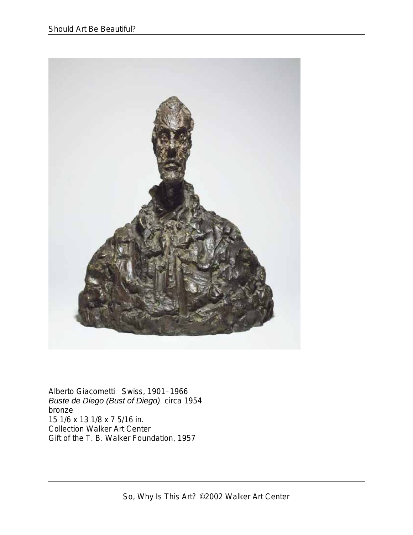

Alberto Giacometti Swiss, 1901–1966 *Buste de Diego (Bust of Diego)* circa 1954 bronze 15 1/6 x 13 1/8 x 7 5/16 in. Collection Walker Art Center Gift of the T. B. Walker Foundation, 1957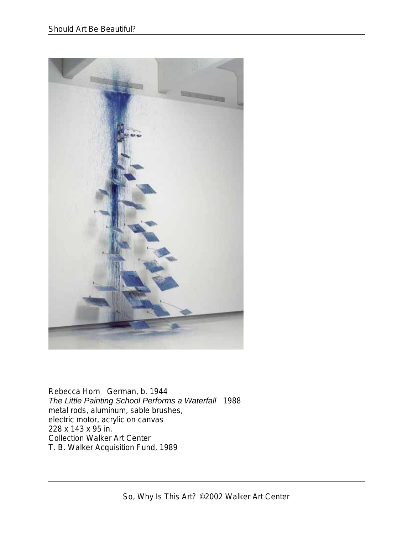

Rebecca Horn German, b. 1944 *The Little Painting School Performs a Waterfall* 1988 metal rods, aluminum, sable brushes, electric motor, acrylic on canvas 228 x 143 x 95 in. Collection Walker Art Center T. B. Walker Acquisition Fund, 1989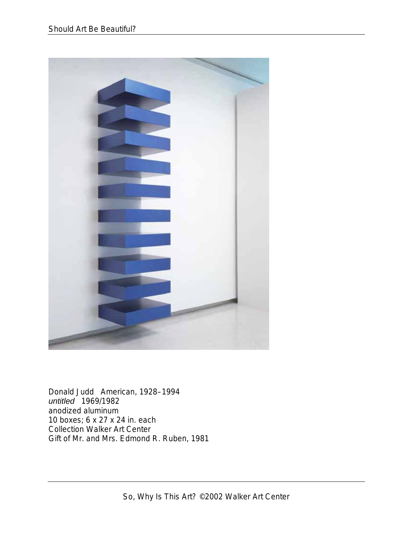

Donald Judd American, 1928–1994 *untitled* 1969/1982 anodized aluminum 10 boxes; 6 x 27 x 24 in. each Collection Walker Art Center Gift of Mr. and Mrs. Edmond R. Ruben, 1981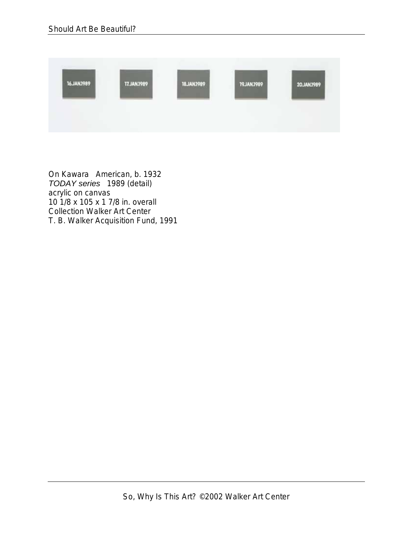

On Kawara American, b. 1932 *TODAY series* 1989 (detail) acrylic on canvas 10 1/8 x 105 x 1 7/8 in. overall Collection Walker Art Center T. B. Walker Acquisition Fund, 1991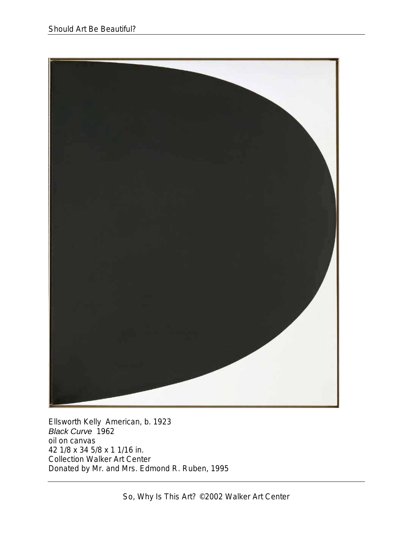

Ellsworth Kelly American, b. 1923 *Black Curve* 1962 oil on canvas 42 1/8 x 34 5/8 x 1 1/16 in. Collection Walker Art Center Donated by Mr. and Mrs. Edmond R. Ruben, 1995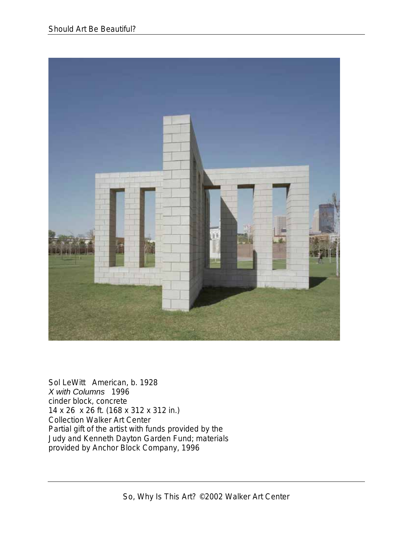

Sol LeWitt American, b. 1928 *X with Columns* 1996 cinder block, concrete 14 x 26 x 26 ft. (168 x 312 x 312 in.) Collection Walker Art Center Partial gift of the artist with funds provided by the Judy and Kenneth Dayton Garden Fund; materials provided by Anchor Block Company, 1996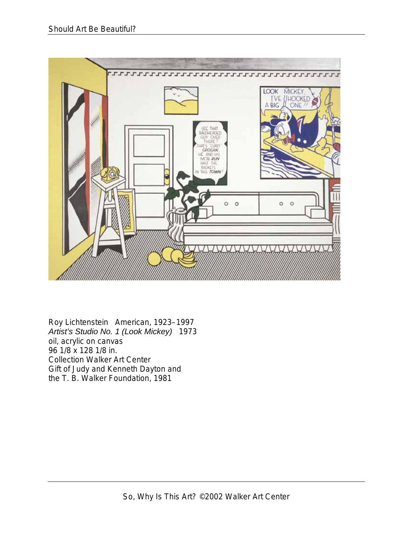

Roy Lichtenstein American, 1923–1997 *Artist's Studio No. 1 (Look Mickey)* 1973 oil, acrylic on canvas 96 1/8 x 128 1/8 in. Collection Walker Art Center Gift of Judy and Kenneth Dayton and the T. B. Walker Foundation, 1981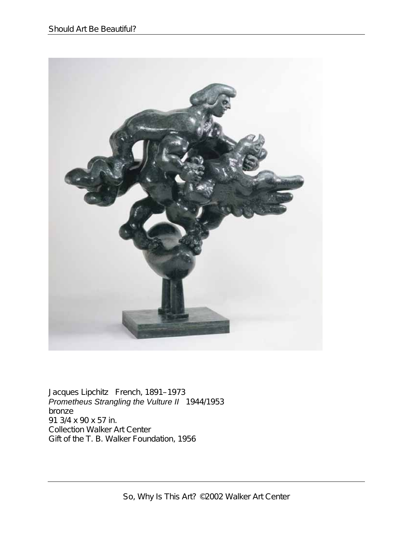

Jacques Lipchitz French, 1891–1973 *Prometheus Strangling the Vulture II* 1944/1953 bronze 91 3/4 x 90 x 57 in. Collection Walker Art Center Gift of the T. B. Walker Foundation, 1956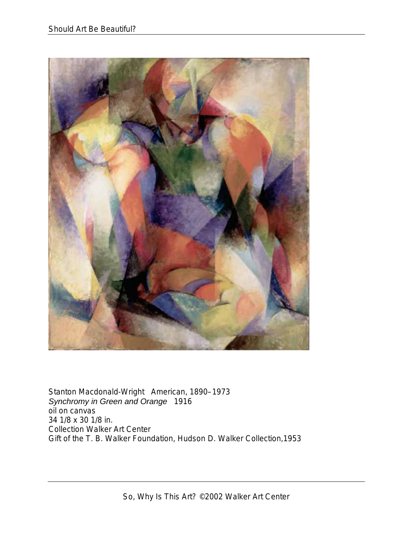

Stanton Macdonald-Wright American, 1890–1973 *Synchromy in Green and Orange* 1916 oil on canvas 34 1/8 x 30 1/8 in. Collection Walker Art Center Gift of the T. B. Walker Foundation, Hudson D. Walker Collection,1953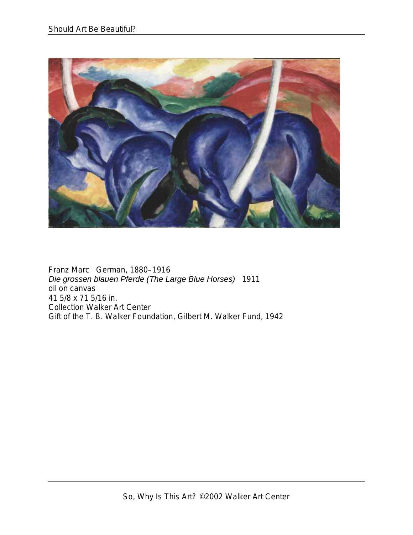

Franz Marc German, 1880–1916 *Die grossen blauen Pferde (The Large Blue Horses)* 1911 oil on canvas 41 5/8 x 71 5/16 in. Collection Walker Art Center Gift of the T. B. Walker Foundation, Gilbert M. Walker Fund, 1942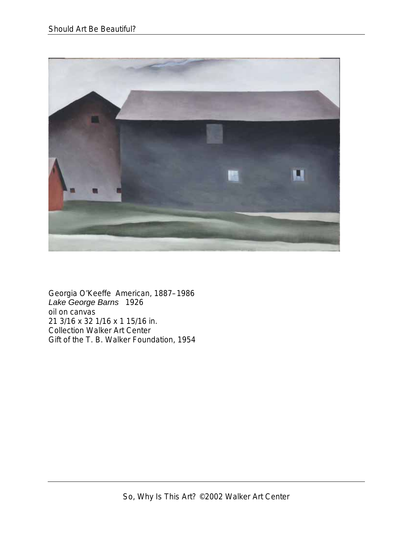

Georgia O'Keeffe American, 1887–1986 *Lake George Barns* 1926 oil on canvas 21 3/16 x 32 1/16 x 1 15/16 in. Collection Walker Art Center Gift of the T. B. Walker Foundation, 1954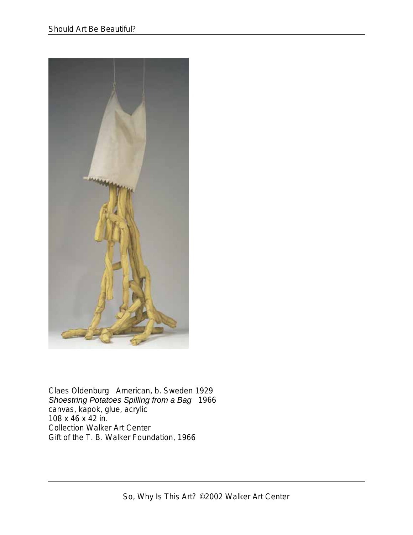

Claes Oldenburg American, b. Sweden 1929 *Shoestring Potatoes Spilling from a Bag* 1966 canvas, kapok, glue, acrylic 108 x 46 x 42 in. Collection Walker Art Center Gift of the T. B. Walker Foundation, 1966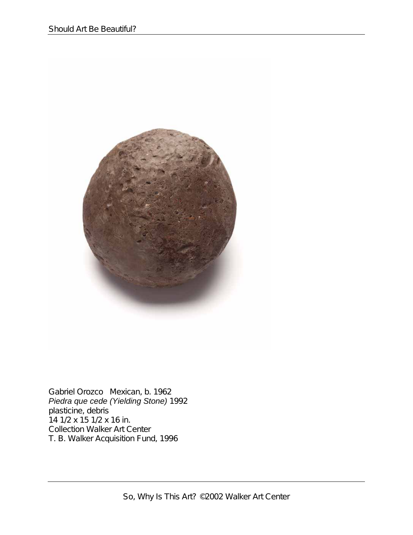

Gabriel Orozco Mexican, b. 1962 *Piedra que cede (Yielding Stone)* 1992 plasticine, debris 14 1/2 x 15 1/2 x 16 in. Collection Walker Art Center T. B. Walker Acquisition Fund, 1996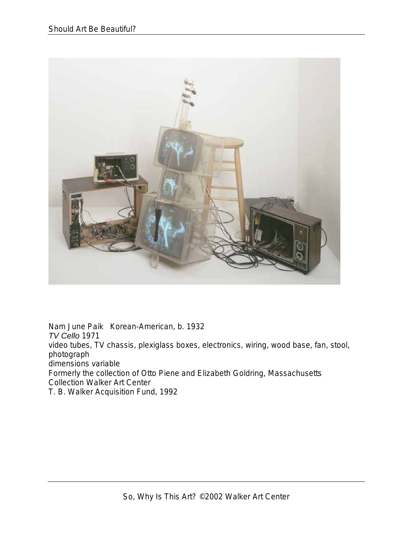

Nam June Paik Korean-American, b. 1932 *TV Cello* 1971 video tubes, TV chassis, plexiglass boxes, electronics, wiring, wood base, fan, stool, photograph dimensions variable Formerly the collection of Otto Piene and Elizabeth Goldring, Massachusetts Collection Walker Art Center T. B. Walker Acquisition Fund, 1992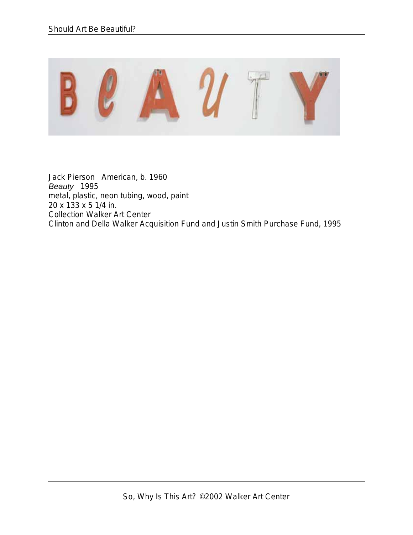

Jack Pierson American, b. 1960 *Beauty* 1995 metal, plastic, neon tubing, wood, paint 20 x 133 x 5 1/4 in. Collection Walker Art Center Clinton and Della Walker Acquisition Fund and Justin Smith Purchase Fund, 1995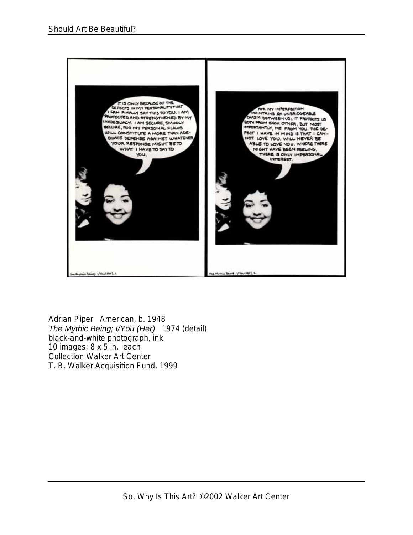

Adrian Piper American, b. 1948 *The Mythic Being; I/You (Her)* 1974 (detail) black-and-white photograph, ink 10 images; 8 x 5 in. each Collection Walker Art Center T. B. Walker Acquisition Fund, 1999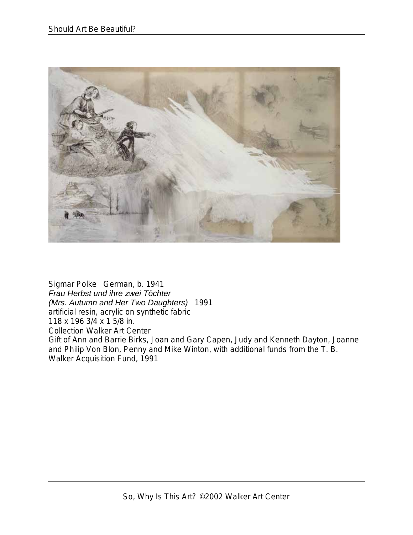

Sigmar Polke German, b. 1941 *Frau Herbst und ihre zwei Töchter (Mrs. Autumn and Her Two Daughters)* 1991 artificial resin, acrylic on synthetic fabric 118 x 196 3/4 x 1 5/8 in. Collection Walker Art Center Gift of Ann and Barrie Birks, Joan and Gary Capen, Judy and Kenneth Dayton, Joanne and Philip Von Blon, Penny and Mike Winton, with additional funds from the T. B. Walker Acquisition Fund, 1991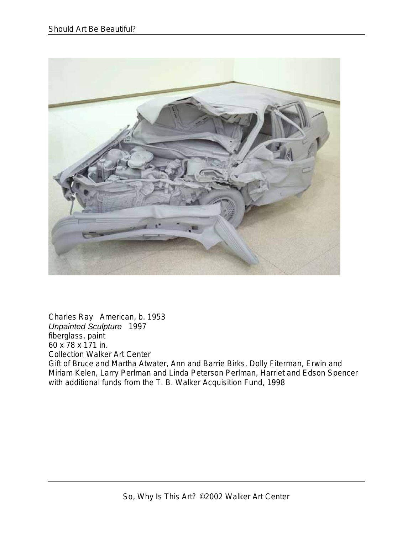

Charles Ray American, b. 1953 *Unpainted Sculpture* 1997 fiberglass, paint 60 x 78 x 171 in. Collection Walker Art Center Gift of Bruce and Martha Atwater, Ann and Barrie Birks, Dolly Fiterman, Erwin and Miriam Kelen, Larry Perlman and Linda Peterson Perlman, Harriet and Edson Spencer with additional funds from the T. B. Walker Acquisition Fund, 1998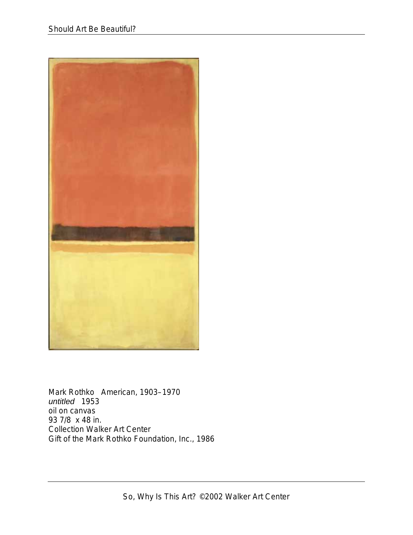

Mark Rothko American, 1903–1970 *untitled* 1953 oil on canvas 93 7/8 x 48 in. Collection Walker Art Center Gift of the Mark Rothko Foundation, Inc., 1986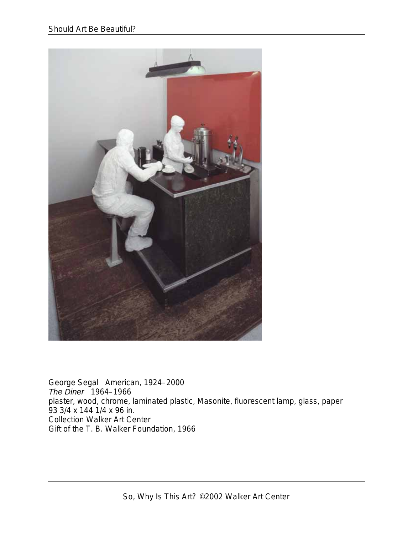

George Segal American, 1924–2000 *The Diner* 1964–1966 plaster, wood, chrome, laminated plastic, Masonite, fluorescent lamp, glass, paper 93 3/4 x 144 1/4 x 96 in. Collection Walker Art Center Gift of the T. B. Walker Foundation, 1966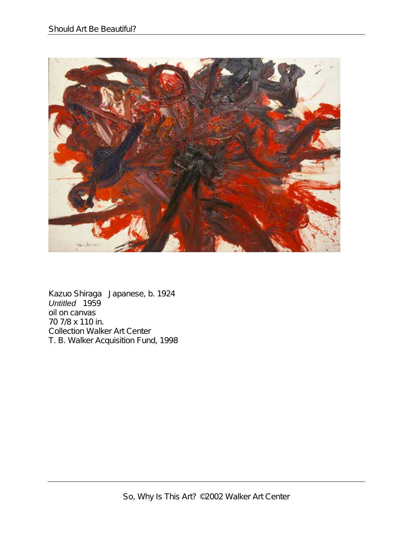

Kazuo Shiraga Japanese, b. 1924 *Untitled* 1959 oil on canvas 70 7/8 x 110 in. Collection Walker Art Center T. B. Walker Acquisition Fund, 1998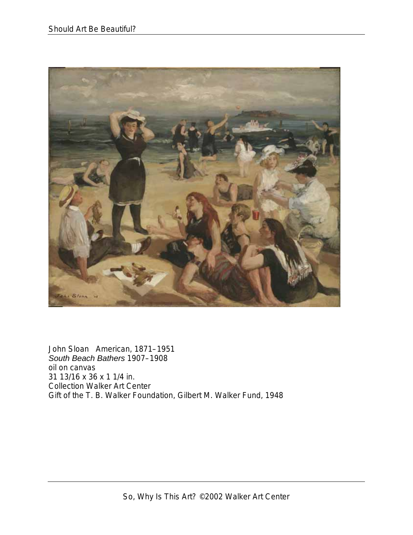

John Sloan American, 1871–1951 *South Beach Bathers* 1907–1908 oil on canvas 31 13/16 x 36 x 1 1/4 in. Collection Walker Art Center Gift of the T. B. Walker Foundation, Gilbert M. Walker Fund, 1948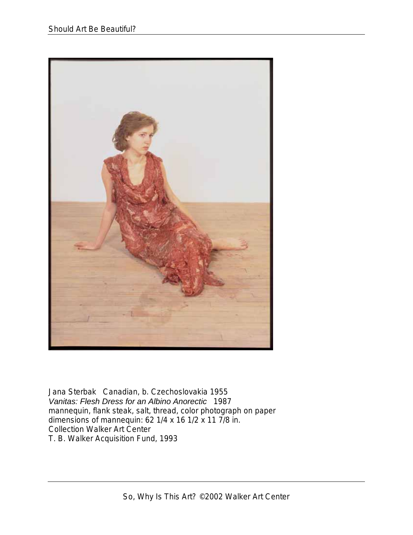

Jana Sterbak Canadian, b. Czechoslovakia 1955 *Vanitas: Flesh Dress for an Albino Anorectic* 1987 mannequin, flank steak, salt, thread, color photograph on paper dimensions of mannequin: 62 1/4 x 16 1/2 x 11 7/8 in. Collection Walker Art Center T. B. Walker Acquisition Fund, 1993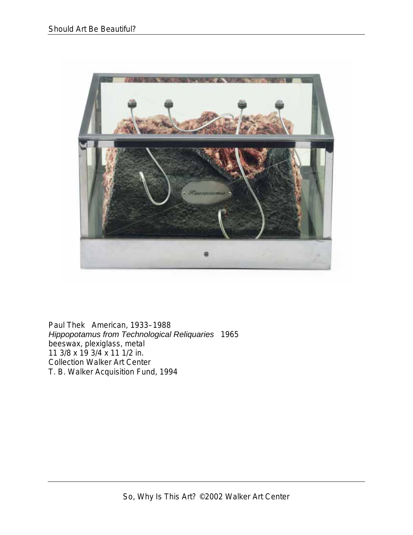

Paul Thek American, 1933–1988 *Hippopotamus from Technological Reliquaries* 1965 beeswax, plexiglass, metal 11 3/8 x 19 3/4 x 11 1/2 in. Collection Walker Art Center T. B. Walker Acquisition Fund, 1994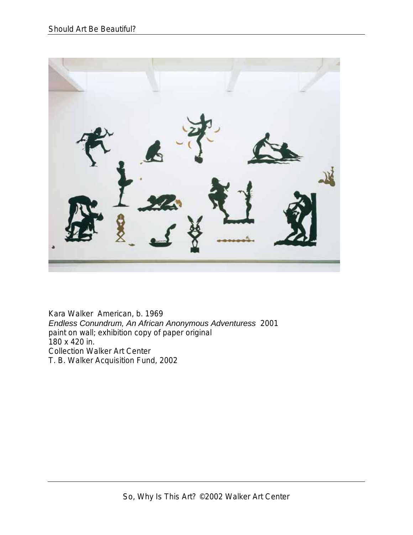

Kara Walker American, b. 1969 *Endless Conundrum, An African Anonymous Adventuress* 2001 paint on wall; exhibition copy of paper original 180 x 420 in. Collection Walker Art Center T. B. Walker Acquisition Fund, 2002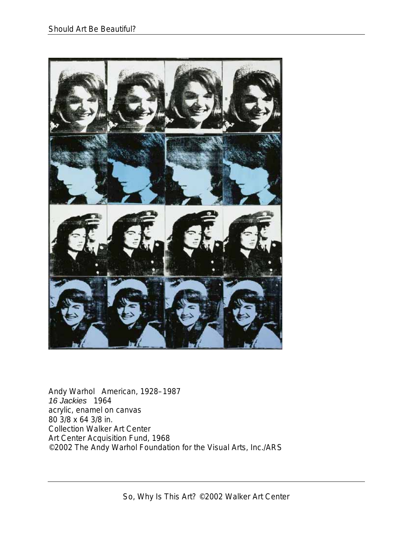

Andy Warhol American, 1928–1987 *16 Jackies* 1964 acrylic, enamel on canvas 80 3/8 x 64 3/8 in. Collection Walker Art Center Art Center Acquisition Fund, 1968 ©2002 The Andy Warhol Foundation for the Visual Arts, Inc./ARS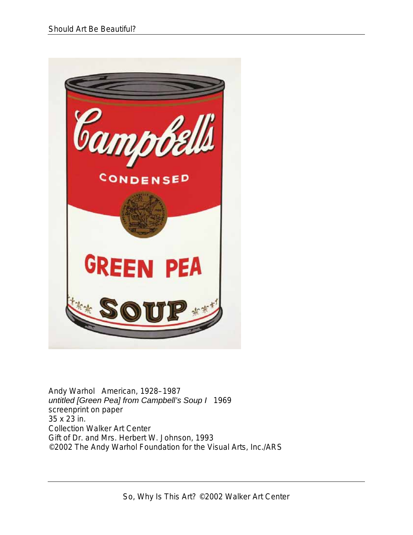

Andy Warhol American, 1928–1987 *untitled [Green Pea] from Campbell's Soup I* 1969 screenprint on paper 35 x 23 in. Collection Walker Art Center Gift of Dr. and Mrs. Herbert W. Johnson, 1993 ©2002 The Andy Warhol Foundation for the Visual Arts, Inc./ARS